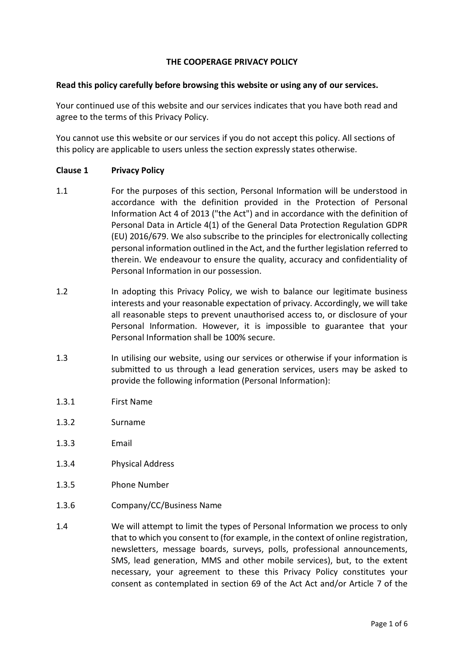## **THE COOPERAGE PRIVACY POLICY**

#### **Read this policy carefully before browsing this website or using any of our services.**

Your continued use of this website and our services indicates that you have both read and agree to the terms of this Privacy Policy.

You cannot use this website or our services if you do not accept this policy. All sections of this policy are applicable to users unless the section expressly states otherwise.

#### **Clause 1 Privacy Policy**

- 1.1 For the purposes of this section, Personal Information will be understood in accordance with the definition provided in the Protection of Personal Information Act 4 of 2013 ("the Act") and in accordance with the definition of Personal Data in Article 4(1) of the General Data Protection Regulation GDPR (EU) 2016/679. We also subscribe to the principles for electronically collecting personal information outlined in the Act, and the further legislation referred to therein. We endeavour to ensure the quality, accuracy and confidentiality of Personal Information in our possession.
- 1.2 In adopting this Privacy Policy, we wish to balance our legitimate business interests and your reasonable expectation of privacy. Accordingly, we will take all reasonable steps to prevent unauthorised access to, or disclosure of your Personal Information. However, it is impossible to guarantee that your Personal Information shall be 100% secure.
- 1.3 In utilising our website, using our services or otherwise if your information is submitted to us through a lead generation services, users may be asked to provide the following information (Personal Information):
- 1.3.1 First Name
- 1.3.2 Surname
- 1.3.3 Email
- 1.3.4 Physical Address
- 1.3.5 Phone Number
- 1.3.6 Company/CC/Business Name
- 1.4 We will attempt to limit the types of Personal Information we process to only that to which you consent to (for example, in the context of online registration, newsletters, message boards, surveys, polls, professional announcements, SMS, lead generation, MMS and other mobile services), but, to the extent necessary, your agreement to these this Privacy Policy constitutes your consent as contemplated in section 69 of the Act Act and/or Article 7 of the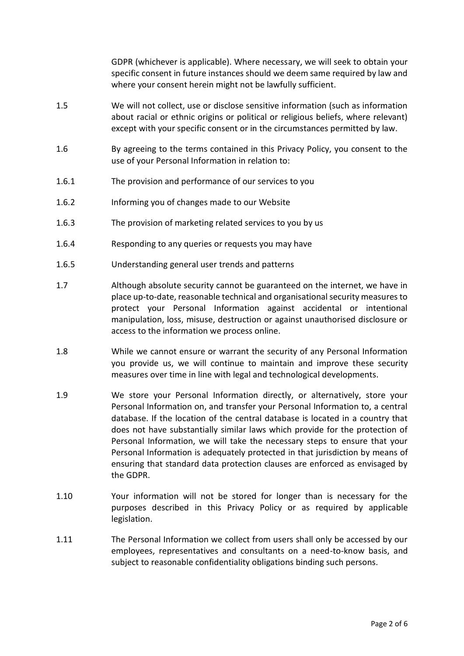GDPR (whichever is applicable). Where necessary, we will seek to obtain your specific consent in future instances should we deem same required by law and where your consent herein might not be lawfully sufficient.

- 1.5 We will not collect, use or disclose sensitive information (such as information about racial or ethnic origins or political or religious beliefs, where relevant) except with your specific consent or in the circumstances permitted by law.
- 1.6 By agreeing to the terms contained in this Privacy Policy, you consent to the use of your Personal Information in relation to:
- 1.6.1 The provision and performance of our services to you
- 1.6.2 Informing you of changes made to our Website
- 1.6.3 The provision of marketing related services to you by us
- 1.6.4 Responding to any queries or requests you may have
- 1.6.5 Understanding general user trends and patterns
- 1.7 Although absolute security cannot be guaranteed on the internet, we have in place up-to-date, reasonable technical and organisational security measures to protect your Personal Information against accidental or intentional manipulation, loss, misuse, destruction or against unauthorised disclosure or access to the information we process online.
- 1.8 While we cannot ensure or warrant the security of any Personal Information you provide us, we will continue to maintain and improve these security measures over time in line with legal and technological developments.
- 1.9 We store your Personal Information directly, or alternatively, store your Personal Information on, and transfer your Personal Information to, a central database. If the location of the central database is located in a country that does not have substantially similar laws which provide for the protection of Personal Information, we will take the necessary steps to ensure that your Personal Information is adequately protected in that jurisdiction by means of ensuring that standard data protection clauses are enforced as envisaged by the GDPR.
- 1.10 Your information will not be stored for longer than is necessary for the purposes described in this Privacy Policy or as required by applicable legislation.
- 1.11 The Personal Information we collect from users shall only be accessed by our employees, representatives and consultants on a need-to-know basis, and subject to reasonable confidentiality obligations binding such persons.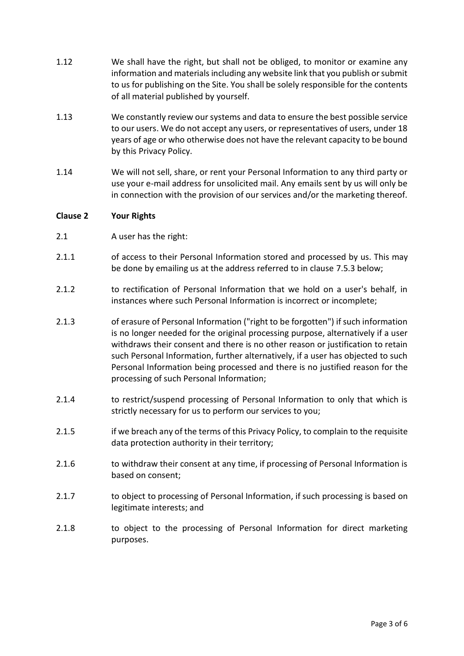- 1.12 We shall have the right, but shall not be obliged, to monitor or examine any information and materials including any website link that you publish or submit to us for publishing on the Site. You shall be solely responsible for the contents of all material published by yourself.
- 1.13 We constantly review our systems and data to ensure the best possible service to our users. We do not accept any users, or representatives of users, under 18 years of age or who otherwise does not have the relevant capacity to be bound by this Privacy Policy.
- 1.14 We will not sell, share, or rent your Personal Information to any third party or use your e-mail address for unsolicited mail. Any emails sent by us will only be in connection with the provision of our services and/or the marketing thereof.

## **Clause 2 Your Rights**

- 2.1 A user has the right:
- 2.1.1 of access to their Personal Information stored and processed by us. This may be done by emailing us at the address referred to in clause [7.5.3](#page-5-0) below;
- 2.1.2 to rectification of Personal Information that we hold on a user's behalf, in instances where such Personal Information is incorrect or incomplete;
- 2.1.3 of erasure of Personal Information ("right to be forgotten") if such information is no longer needed for the original processing purpose, alternatively if a user withdraws their consent and there is no other reason or justification to retain such Personal Information, further alternatively, if a user has objected to such Personal Information being processed and there is no justified reason for the processing of such Personal Information;
- 2.1.4 to restrict/suspend processing of Personal Information to only that which is strictly necessary for us to perform our services to you;
- 2.1.5 if we breach any of the terms of this Privacy Policy, to complain to the requisite data protection authority in their territory;
- 2.1.6 to withdraw their consent at any time, if processing of Personal Information is based on consent;
- 2.1.7 to object to processing of Personal Information, if such processing is based on legitimate interests; and
- 2.1.8 to object to the processing of Personal Information for direct marketing purposes.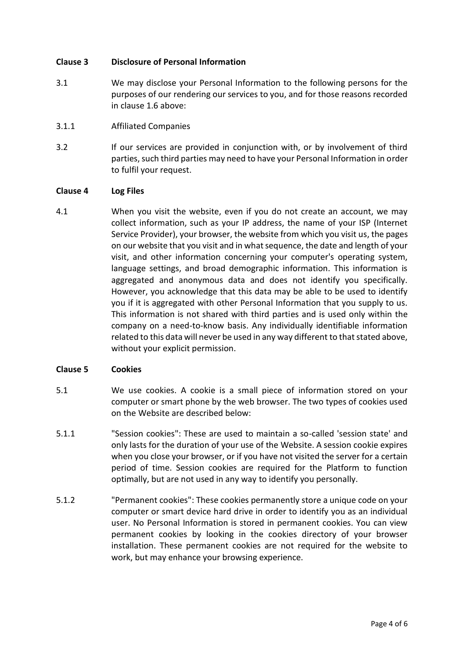# **Clause 3 Disclosure of Personal Information**

- 3.1 We may disclose your Personal Information to the following persons for the purposes of our rendering our services to you, and for those reasons recorded in clause 1.6 above:
- 3.1.1 Affiliated Companies
- 3.2 If our services are provided in conjunction with, or by involvement of third parties, such third parties may need to have your Personal Information in order to fulfil your request.

## **Clause 4 Log Files**

4.1 When you visit the website, even if you do not create an account, we may collect information, such as your IP address, the name of your ISP (Internet Service Provider), your browser, the website from which you visit us, the pages on our website that you visit and in what sequence, the date and length of your visit, and other information concerning your computer's operating system, language settings, and broad demographic information. This information is aggregated and anonymous data and does not identify you specifically. However, you acknowledge that this data may be able to be used to identify you if it is aggregated with other Personal Information that you supply to us. This information is not shared with third parties and is used only within the company on a need-to-know basis. Any individually identifiable information related to this data will never be used in any way different to that stated above, without your explicit permission.

## **Clause 5 Cookies**

- 5.1 We use cookies. A cookie is a small piece of information stored on your computer or smart phone by the web browser. The two types of cookies used on the Website are described below:
- 5.1.1 "Session cookies": These are used to maintain a so-called 'session state' and only lasts for the duration of your use of the Website. A session cookie expires when you close your browser, or if you have not visited the server for a certain period of time. Session cookies are required for the Platform to function optimally, but are not used in any way to identify you personally.
- 5.1.2 "Permanent cookies": These cookies permanently store a unique code on your computer or smart device hard drive in order to identify you as an individual user. No Personal Information is stored in permanent cookies. You can view permanent cookies by looking in the cookies directory of your browser installation. These permanent cookies are not required for the website to work, but may enhance your browsing experience.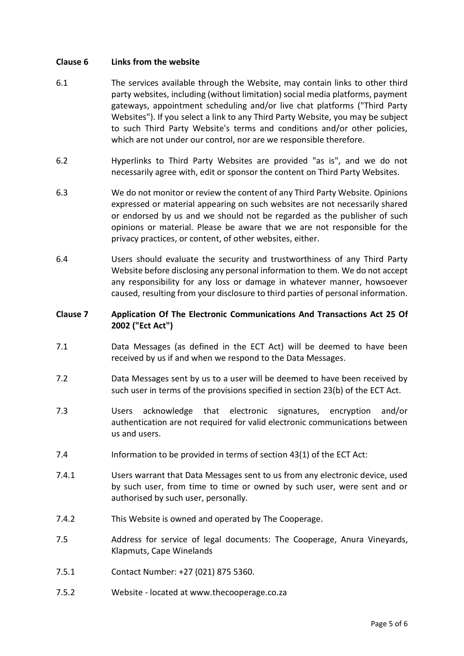#### **Clause 6 Links from the website**

- 6.1 The services available through the Website, may contain links to other third party websites, including (without limitation) social media platforms, payment gateways, appointment scheduling and/or live chat platforms ("Third Party Websites"). If you select a link to any Third Party Website, you may be subject to such Third Party Website's terms and conditions and/or other policies, which are not under our control, nor are we responsible therefore.
- 6.2 Hyperlinks to Third Party Websites are provided "as is", and we do not necessarily agree with, edit or sponsor the content on Third Party Websites.
- 6.3 We do not monitor or review the content of any Third Party Website. Opinions expressed or material appearing on such websites are not necessarily shared or endorsed by us and we should not be regarded as the publisher of such opinions or material. Please be aware that we are not responsible for the privacy practices, or content, of other websites, either.
- 6.4 Users should evaluate the security and trustworthiness of any Third Party Website before disclosing any personal information to them. We do not accept any responsibility for any loss or damage in whatever manner, howsoever caused, resulting from your disclosure to third parties of personal information.

# **Clause 7 Application Of The Electronic Communications And Transactions Act 25 Of 2002 ("Ect Act")**

- 7.1 Data Messages (as defined in the ECT Act) will be deemed to have been received by us if and when we respond to the Data Messages.
- 7.2 Data Messages sent by us to a user will be deemed to have been received by such user in terms of the provisions specified in section 23(b) of the ECT Act.
- 7.3 Users acknowledge that electronic signatures, encryption and/or authentication are not required for valid electronic communications between us and users.
- 7.4 Information to be provided in terms of section 43(1) of the ECT Act:
- 7.4.1 Users warrant that Data Messages sent to us from any electronic device, used by such user, from time to time or owned by such user, were sent and or authorised by such user, personally.
- 7.4.2 This Website is owned and operated by The Cooperage.
- 7.5 Address for service of legal documents: The Cooperage, Anura Vineyards, Klapmuts, Cape Winelands
- 7.5.1 Contact Number: +27 (021) 875 5360.
- 7.5.2 Website located at www.thecooperage.co.za